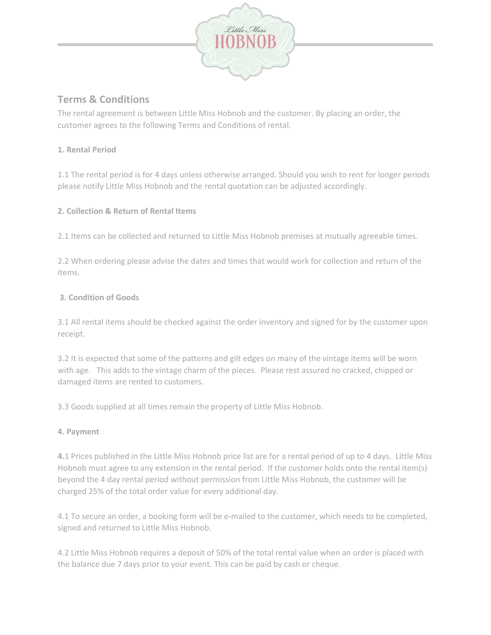

# **Terms & Conditions**

The rental agreement is between Little Miss Hobnob and the customer. By placing an order, the customer agrees to the following Terms and Conditions of rental.

#### **1. Rental Period**

1.1 The rental period is for 4 days unless otherwise arranged. Should you wish to rent for longer periods please notify Little Miss Hobnob and the rental quotation can be adjusted accordingly.

## **2. Collection & Return of Rental Items**

2.1 Items can be collected and returned to Little Miss Hobnob premises at mutually agreeable times.

2.2 When ordering please advise the dates and times that would work for collection and return of the items.

## **3. Condition of Goods**

3.1 All rental items should be checked against the order inventory and signed for by the customer upon receipt.

3.2 It is expected that some of the patterns and gilt edges on many of the vintage items will be worn with age. This adds to the vintage charm of the pieces. Please rest assured no cracked, chipped or damaged items are rented to customers.

3.3 Goods supplied at all times remain the property of Little Miss Hobnob.

#### **4. Payment**

**4.**1 Prices published in the Little Miss Hobnob price list are for a rental period of up to 4 days. Little Miss Hobnob must agree to any extension in the rental period. If the customer holds onto the rental item(s) beyond the 4 day rental period without permission from Little Miss Hobnob, the customer will be charged 25% of the total order value for every additional day.

4.1 To secure an order, a booking form will be e-mailed to the customer, which needs to be completed, signed and returned to Little Miss Hobnob.

4.2 Little Miss Hobnob requires a deposit of 50% of the total rental value when an order is placed with the balance due 7 days prior to your event. This can be paid by cash or cheque.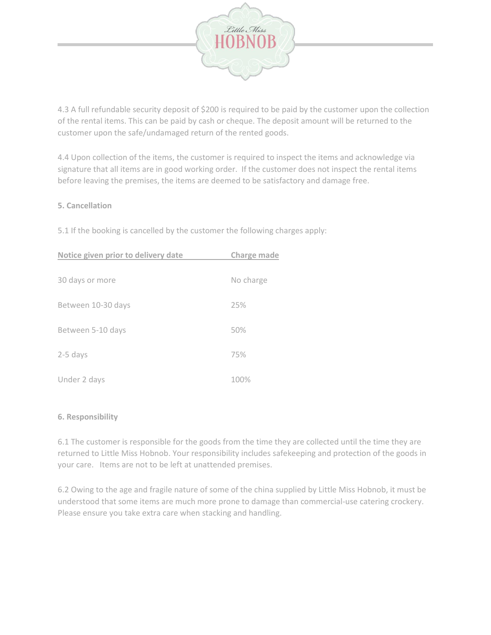

4.3 A full refundable security deposit of \$200 is required to be paid by the customer upon the collection of the rental items. This can be paid by cash or cheque. The deposit amount will be returned to the customer upon the safe/undamaged return of the rented goods.

4.4 Upon collection of the items, the customer is required to inspect the items and acknowledge via signature that all items are in good working order. If the customer does not inspect the rental items before leaving the premises, the items are deemed to be satisfactory and damage free.

#### **5. Cancellation**

5.1 If the booking is cancelled by the customer the following charges apply:

| Notice given prior to delivery date | Charge made |
|-------------------------------------|-------------|
| 30 days or more                     | No charge   |
| Between 10-30 days                  | 25%         |
| Between 5-10 days                   | 50%         |
| 2-5 days                            | 75%         |
| Under 2 days                        | 100%        |

#### **6. Responsibility**

6.1 The customer is responsible for the goods from the time they are collected until the time they are returned to Little Miss Hobnob. Your responsibility includes safekeeping and protection of the goods in your care. Items are not to be left at unattended premises.

6.2 Owing to the age and fragile nature of some of the china supplied by Little Miss Hobnob, it must be understood that some items are much more prone to damage than commercial-use catering crockery. Please ensure you take extra care when stacking and handling.